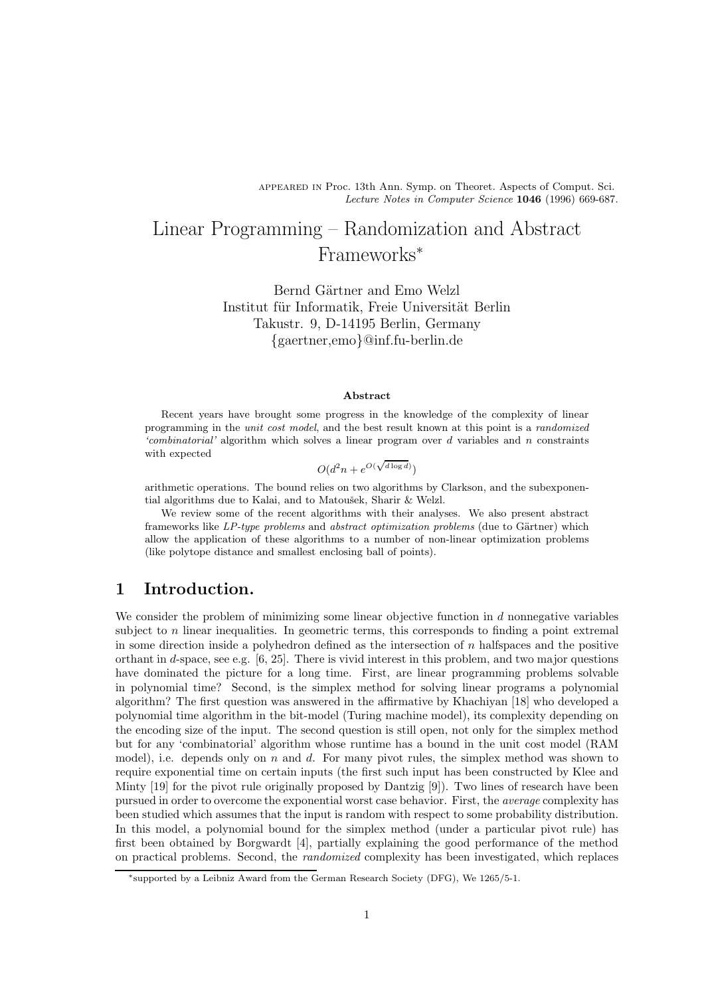appeared in Proc. 13th Ann. Symp. on Theoret. Aspects of Comput. Sci. Lecture Notes in Computer Science 1046 (1996) 669-687.

# Linear Programming – Randomization and Abstract Frameworks<sup>∗</sup>

Bernd Gärtner and Emo Welzl Institut für Informatik, Freie Universität Berlin Takustr. 9, D-14195 Berlin, Germany {gaertner,emo}@inf.fu-berlin.de

#### Abstract

Recent years have brought some progress in the knowledge of the complexity of linear programming in the unit cost model, and the best result known at this point is a randomized 'combinatorial' algorithm which solves a linear program over d variables and n constraints with expected

$$
O(d^2n + e^{O(\sqrt{d\log d})})
$$

arithmetic operations. The bound relies on two algorithms by Clarkson, and the subexponential algorithms due to Kalai, and to Matoušek, Sharir & Welzl.

We review some of the recent algorithms with their analyses. We also present abstract frameworks like  $LP-type$  problems and abstract optimization problems (due to Gärtner) which allow the application of these algorithms to a number of non-linear optimization problems (like polytope distance and smallest enclosing ball of points).

### 1 Introduction.

We consider the problem of minimizing some linear objective function in  $d$  nonnegative variables subject to  $n$  linear inequalities. In geometric terms, this corresponds to finding a point extremal in some direction inside a polyhedron defined as the intersection of  $n$  halfspaces and the positive orthant in d-space, see e.g. [6, 25]. There is vivid interest in this problem, and two major questions have dominated the picture for a long time. First, are linear programming problems solvable in polynomial time? Second, is the simplex method for solving linear programs a polynomial algorithm? The first question was answered in the affirmative by Khachiyan [18] who developed a polynomial time algorithm in the bit-model (Turing machine model), its complexity depending on the encoding size of the input. The second question is still open, not only for the simplex method but for any 'combinatorial' algorithm whose runtime has a bound in the unit cost model (RAM model), i.e. depends only on  $n$  and  $d$ . For many pivot rules, the simplex method was shown to require exponential time on certain inputs (the first such input has been constructed by Klee and Minty [19] for the pivot rule originally proposed by Dantzig [9]). Two lines of research have been pursued in order to overcome the exponential worst case behavior. First, the average complexity has been studied which assumes that the input is random with respect to some probability distribution. In this model, a polynomial bound for the simplex method (under a particular pivot rule) has first been obtained by Borgwardt [4], partially explaining the good performance of the method on practical problems. Second, the randomized complexity has been investigated, which replaces

<sup>∗</sup>supported by a Leibniz Award from the German Research Society (DFG), We 1265/5-1.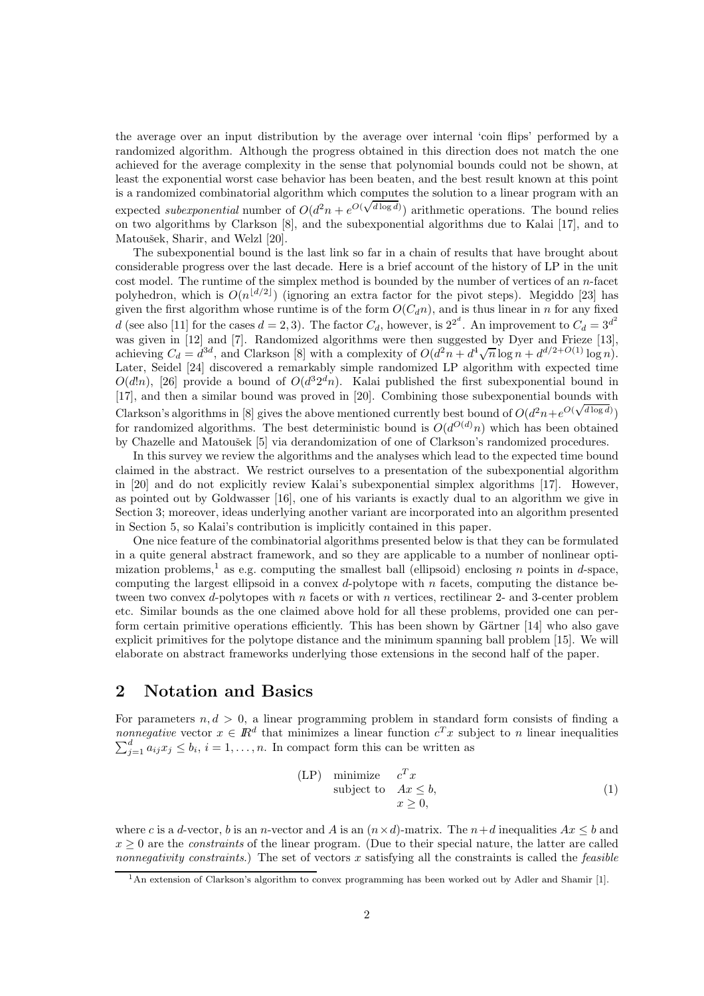the average over an input distribution by the average over internal 'coin flips' performed by a randomized algorithm. Although the progress obtained in this direction does not match the one achieved for the average complexity in the sense that polynomial bounds could not be shown, at least the exponential worst case behavior has been beaten, and the best result known at this point is a randomized combinatorial algorithm which computes the solution to a linear program with an expected *subexponential* number of  $O(d^2n + e^{O(\sqrt{d \log d})})$  arithmetic operations. The bound relies on two algorithms by Clarkson [8], and the subexponential algorithms due to Kalai [17], and to Matoušek, Sharir, and Welzl [20].

The subexponential bound is the last link so far in a chain of results that have brought about considerable progress over the last decade. Here is a brief account of the history of LP in the unit cost model. The runtime of the simplex method is bounded by the number of vertices of an n-facet polyhedron, which is  $O(n^{\lfloor d/2 \rfloor})$  (ignoring an extra factor for the pivot steps). Megiddo [23] has given the first algorithm whose runtime is of the form  $O(C_d n)$ , and is thus linear in n for any fixed d (see also [11] for the cases  $d = 2, 3$ ). The factor  $C_d$ , however, is  $2^{2^d}$ . An improvement to  $C_d = 3^{d^2}$ was given in [12] and [7]. Randomized algorithms were then suggested by Dyer and Frieze [13], achieving  $C_d = d^{3d}$ , and Clarkson [8] with a complexity of  $O(d^2n + d^4\sqrt{n}\log n + d^{d/2+O(1)}\log n)$ . Later, Seidel [24] discovered a remarkably simple randomized LP algorithm with expected time  $O(d!n)$ , [26] provide a bound of  $O(d^3 2^d n)$ . Kalai published the first subexponential bound in [17], and then a similar bound was proved in [20]. Combining those subexponential bounds with Clarkson's algorithms in [8] gives the above mentioned currently best bound of  $O(d^2n + e^{O(\sqrt{d \log d})})$ for randomized algorithms. The best deterministic bound is  $O(d^{O(d)}n)$  which has been obtained by Chazelle and Matoušek [5] via derandomization of one of Clarkson's randomized procedures.

In this survey we review the algorithms and the analyses which lead to the expected time bound claimed in the abstract. We restrict ourselves to a presentation of the subexponential algorithm in [20] and do not explicitly review Kalai's subexponential simplex algorithms [17]. However, as pointed out by Goldwasser [16], one of his variants is exactly dual to an algorithm we give in Section 3; moreover, ideas underlying another variant are incorporated into an algorithm presented in Section 5, so Kalai's contribution is implicitly contained in this paper.

One nice feature of the combinatorial algorithms presented below is that they can be formulated in a quite general abstract framework, and so they are applicable to a number of nonlinear optimization problems,<sup>1</sup> as e.g. computing the smallest ball (ellipsoid) enclosing n points in d-space, computing the largest ellipsoid in a convex  $d$ -polytope with  $n$  facets, computing the distance between two convex d-polytopes with n facets or with n vertices, rectilinear 2- and 3-center problem etc. Similar bounds as the one claimed above hold for all these problems, provided one can perform certain primitive operations efficiently. This has been shown by Gärtner  $[14]$  who also gave explicit primitives for the polytope distance and the minimum spanning ball problem [15]. We will elaborate on abstract frameworks underlying those extensions in the second half of the paper.

# 2 Notation and Basics

For parameters  $n, d > 0$ , a linear programming problem in standard form consists of finding a nonnegative vector  $x \in \mathbb{R}^d$  that minimizes a linear function  $c^T x$  subject to n linear inequalities  $\sum_{j=1}^{d} a_{ij} x_j \leq b_i, i = 1, \ldots, n$ . In compact form this can be written as

$$
\begin{array}{ll}\n\text{(LP)} & \text{minimize} & c^T x \\
\text{subject to} & Ax \leq b, \\
& x \geq 0,\n\end{array} \tag{1}
$$

where c is a d-vector, b is an n-vector and A is an  $(n \times d)$ -matrix. The  $n+d$  inequalities  $Ax \le b$  and  $x \geq 0$  are the *constraints* of the linear program. (Due to their special nature, the latter are called nonnegativity constraints.) The set of vectors x satisfying all the constraints is called the *feasible* 

<sup>1</sup>An extension of Clarkson's algorithm to convex programming has been worked out by Adler and Shamir [1].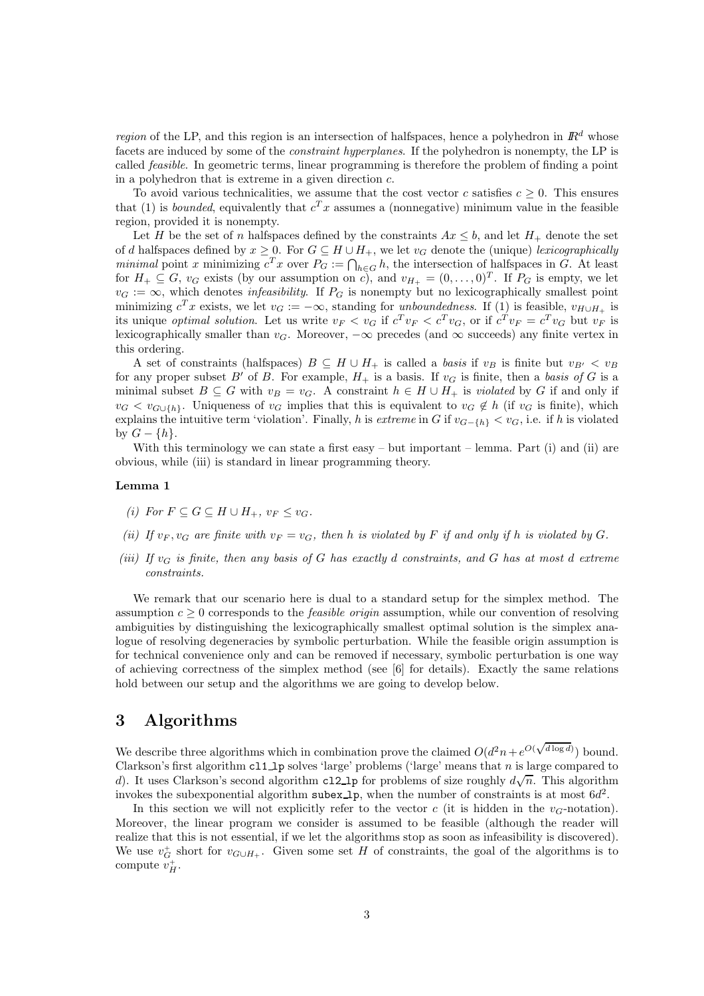*region* of the LP, and this region is an intersection of halfspaces, hence a polyhedron in  $\mathbb{R}^d$  whose facets are induced by some of the *constraint hyperplanes*. If the polyhedron is nonempty, the LP is called feasible. In geometric terms, linear programming is therefore the problem of finding a point in a polyhedron that is extreme in a given direction c.

To avoid various technicalities, we assume that the cost vector c satisfies  $c > 0$ . This ensures that (1) is *bounded*, equivalently that  $c^T x$  assumes a (nonnegative) minimum value in the feasible region, provided it is nonempty.

Let H be the set of n halfspaces defined by the constraints  $Ax \leq b$ , and let  $H_{+}$  denote the set of d halfspaces defined by  $x \geq 0$ . For  $G \subseteq H \cup H_+$ , we let  $v_G$  denote the (unique) lexicographically *minimal* point x minimizing  $c^T x$  over  $P_G := \bigcap_{h \in G} h$ , the intersection of halfspaces in G. At least for  $H_+ \subseteq G$ ,  $v_G$  exists (by our assumption on c), and  $v_{H_+} = (0, \ldots, 0)^T$ . If  $P_G$  is empty, we let  $v_G := \infty$ , which denotes *infeasibility*. If  $P_G$  is nonempty but no lexicographically smallest point minimizing  $c^T x$  exists, we let  $v_G := -\infty$ , standing for unboundedness. If (1) is feasible,  $v_{H \cup H_+}$  is its unique *optimal solution*. Let us write  $v_F < v_G$  if  $c^T v_F < c^T v_G$ , or if  $c^T v_F = c^T v_G$  but  $v_F$  is lexicographically smaller than  $v_G$ . Moreover,  $-\infty$  precedes (and  $\infty$  succeeds) any finite vertex in this ordering.

A set of constraints (halfspaces)  $B \subseteq H \cup H_+$  is called a basis if  $v_B$  is finite but  $v_{B'} < v_B$ for any proper subset B' of B. For example,  $H_+$  is a basis. If  $v_G$  is finite, then a basis of G is a minimal subset  $B \subseteq G$  with  $v_B = v_G$ . A constraint  $h \in H \cup H_+$  is *violated* by G if and only if  $v_G < v_{G\cup\{h\}}$ . Uniqueness of  $v_G$  implies that this is equivalent to  $v_G \notin h$  (if  $v_G$  is finite), which explains the intuitive term 'violation'. Finally, h is extreme in G if  $v_{G-\lbrace h \rbrace} < v_G$ , i.e. if h is violated by  $G - \{h\}.$ 

With this terminology we can state a first easy – but important – lemma. Part (i) and (ii) are obvious, while (iii) is standard in linear programming theory.

#### Lemma 1

- (i) For  $F \subseteq G \subseteq H \cup H_+$ ,  $v_F \le v_G$ .
- (ii) If  $v_F, v_G$  are finite with  $v_F = v_G$ , then h is violated by F if and only if h is violated by G.
- (iii) If  $v_G$  is finite, then any basis of G has exactly d constraints, and G has at most d extreme constraints.

We remark that our scenario here is dual to a standard setup for the simplex method. The assumption  $c \geq 0$  corresponds to the *feasible origin* assumption, while our convention of resolving ambiguities by distinguishing the lexicographically smallest optimal solution is the simplex analogue of resolving degeneracies by symbolic perturbation. While the feasible origin assumption is for technical convenience only and can be removed if necessary, symbolic perturbation is one way of achieving correctness of the simplex method (see [6] for details). Exactly the same relations hold between our setup and the algorithms we are going to develop below.

#### 3 Algorithms

We describe three algorithms which in combination prove the claimed  $O(d^2n + e^{O(\sqrt{d \log d})})$  bound. Clarkson's first algorithm  $c11_1$  solves 'large' problems ('large' means that n is large compared to d). It uses Clarkson's second algorithm cl2\_lp for problems of size roughly  $d\sqrt{n}$ . This algorithm invokes the subexponential algorithm subex 1p, when the number of constraints is at most  $6d^2$ .

In this section we will not explicitly refer to the vector c (it is hidden in the  $v_G$ -notation). Moreover, the linear program we consider is assumed to be feasible (although the reader will realize that this is not essential, if we let the algorithms stop as soon as infeasibility is discovered). We use  $v_G^+$  short for  $v_{G\cup H_+}$ . Given some set H of constraints, the goal of the algorithms is to compute  $v_H^+$ .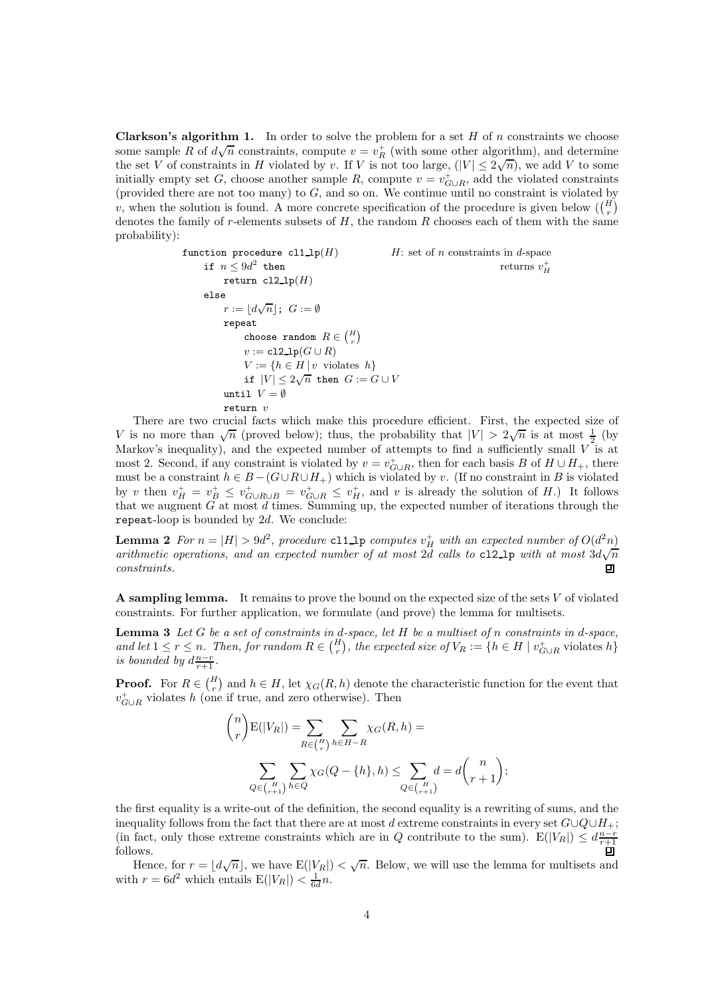**Clarkson's algorithm 1.** In order to solve the problem for a set  $H$  of n constraints we choose some sample R of  $d\sqrt{n}$  constraints, compute  $v = v_R^+$  (with some other algorithm), and determine the set V of constraints in H violated by v. If V is not too large,  $(|V| \leq 2\sqrt{n})$ , we add V to some initially empty set G, choose another sample R, compute  $v = v_{G\cup R}^+$ , add the violated constraints (provided there are not too many) to  $G$ , and so on. We continue until no constraint is violated by v, when the solution is found. A more concrete specification of the procedure is given below  $\binom{H}{r}$ denotes the family of r-elements subsets of  $H$ , the random  $R$  chooses each of them with the same probability):

function procedure 
$$
cl1\_lp(H)
$$
 \n $H$ : set of *n* constraints in *d*-space\n\n \n- if  $n \leq 9d^2$  then\n
	\n- return  $cl2\_lp(H)$
	\n- else\n  $r := \lfloor d\sqrt{n} \rfloor$ ;  $G := \emptyset$
	\n\n
\n- repeat\n
	\n- choose random  $R \in {H \choose r}$
	\n- $v := cl2\_lp(G \cup R)$
	\n- $V := \{h \in H \mid v \text{ violates } h\}$
	\n- if  $|V| \leq 2\sqrt{n}$  then  $G := G \cup V$
	\n\n
\n- return  $v$ \n
\n

There are two crucial facts which make this procedure efficient. First, the expected size of V is no more than  $\sqrt{n}$  (proved below); thus, the probability that  $|V| > 2\sqrt{n}$  is at most  $\frac{1}{2}$  (by Markov's inequality), and the expected number of attempts to find a sufficiently small  $\overrightarrow{V}$  is at most 2. Second, if any constraint is violated by  $v = v_{G\cup R}^+$ , then for each basis B of  $H \cup H_+$ , there must be a constraint  $h \in B - (G \cup R \cup H_+)$  which is violated by v. (If no constraint in B is violated by v then  $v_H^+ = v_B^+ \leq v_{G \cup R \cup B}^+ = v_{G \cup R}^+ \leq v_H^+$ , and v is already the solution of H.) It follows that we augment G at most d times. Summing up, the expected number of iterations through the repeat-loop is bounded by  $2d$ . We conclude:

**Lemma 2** For  $n = |H| > 9d^2$ , procedure cl1\_lp computes  $v_H^+$  with an expected number of  $O(d^2n)$ arithmetic operations, and an expected number of at most 2d calls to c12\_1p with at most  $3d\sqrt{n}$ constraints.  $\Box$ 

A sampling lemma. It remains to prove the bound on the expected size of the sets  $V$  of violated constraints. For further application, we formulate (and prove) the lemma for multisets.

**Lemma 3** Let  $G$  be a set of constraints in d-space, let  $H$  be a multiset of n constraints in d-space, and let  $1 \leq r \leq n$ . Then, for random  $R \in {H \choose r}$ , the expected size of  $V_R := \{h \in H \mid v_{G \cup R}^+$  violates  $h\}$ is bounded by  $d\frac{n-r}{r+1}$ .

**Proof.** For  $R \in \binom{H}{r}$  and  $h \in H$ , let  $\chi_G(R, h)$  denote the characteristic function for the event that  $v_{G\cup R}^+$  violates h (one if true, and zero otherwise). Then

$$
\binom{n}{r} \mathbf{E}(|V_R|) = \sum_{R \in \binom{H}{r}} \sum_{h \in H-R} \chi_G(R, h) =
$$

$$
\sum_{Q \in \binom{H}{r+1}} \sum_{h \in Q} \chi_G(Q - \{h\}, h) \le \sum_{Q \in \binom{H}{r+1}} d = d \binom{n}{r+1};
$$

the first equality is a write-out of the definition, the second equality is a rewriting of sums, and the inequality follows from the fact that there are at most d extreme constraints in every set  $G\cup Q\cup H_+$ ; (in fact, only those extreme constraints which are in Q contribute to the sum).  $E(|V_R|) \leq d_{\frac{n-r}{r+1}}^{\frac{n-r}{r+1}}$ follows.

Hence, for  $r = \lfloor d\sqrt{n} \rfloor$ , we have  $E(|V_R|) < \sqrt{n}$ . Below, we will use the lemma for multisets and with  $r = 6d^2$  which entails  $E(|V_R|) < \frac{1}{6d}n$ .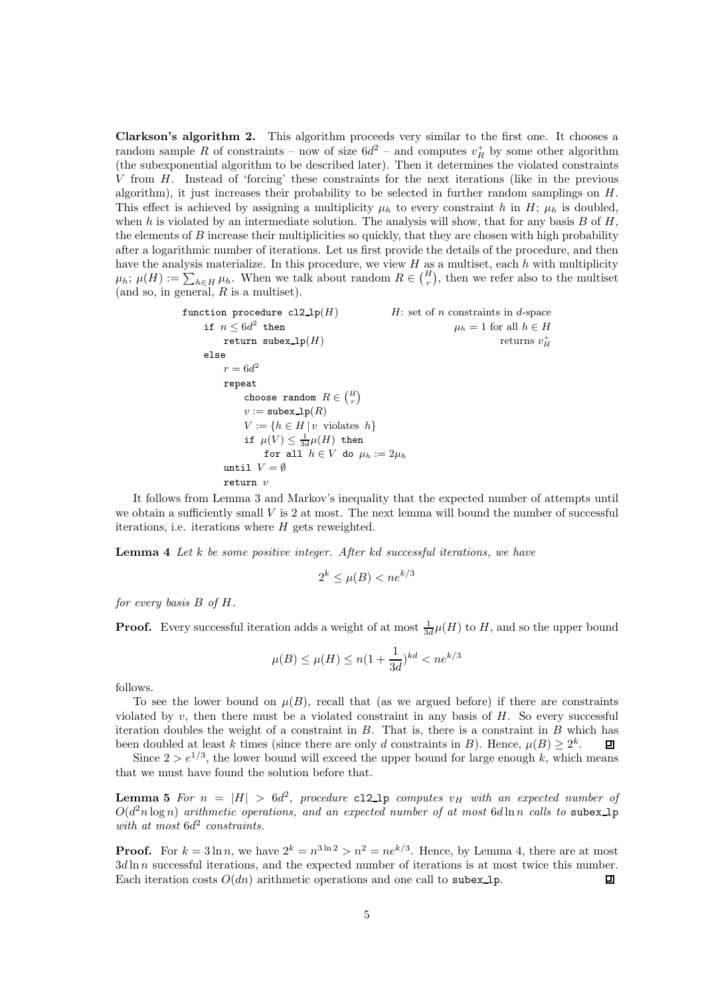Clarkson's algorithm 2. This algorithm proceeds very similar to the first one. It chooses a random sample R of constraints – now of size  $6d^2$  – and computes  $v_R^+$  by some other algorithm (the subexponential algorithm to be described later). Then it determines the violated constraints V from H. Instead of 'forcing' these constraints for the next iterations (like in the previous algorithm), it just increases their probability to be selected in further random samplings on  $H$ . This effect is achieved by assigning a multiplicity  $\mu_h$  to every constraint h in H;  $\mu_h$  is doubled, when h is violated by an intermediate solution. The analysis will show, that for any basis  $B$  of  $H$ , the elements of  $B$  increase their multiplicities so quickly, that they are chosen with high probability after a logarithmic number of iterations. Let us first provide the details of the procedure, and then have the analysis materialize. In this procedure, we view  $H$  as a multiset, each  $h$  with multiplicity  $\mu_h$ ;  $\mu(H) := \sum_{h \in H} \mu_h$ . When we talk about random  $R \in \binom{H}{r}$ , then we refer also to the multiset (and so, in general,  $R$  is a multiset).

function procedure 
$$
cl2\lrcorner\ln(H)
$$
 \n $H$ : set of *n* constraints in *d*-space\n\nif  $n \leq 6d^2$  then\n return  $subex\lrcorner\ln(H)$ \nelse\n
$$
r = 6d^2
$$
\nrepeat\n choose random  $R \in {H \choose r}$ \n
$$
v := \text{subex}\lrcorner\ln(R)
$$
\n
$$
V := \{h \in H \mid v \text{ violates } h\}
$$
\nif  $\mu(V) \leq \frac{1}{3d}\mu(H)$  then\n for all  $h \in V$  do  $\mu_h := 2\mu_h$ \n\nuntil  $V = \emptyset$ \nreturn  $v$ 

It follows from Lemma 3 and Markov's inequality that the expected number of attempts until we obtain a sufficiently small  $V$  is 2 at most. The next lemma will bound the number of successful iterations, i.e. iterations where  $H$  gets reweighted.

**Lemma 4** Let  $k$  be some positive integer. After  $kd$  successful iterations, we have

$$
2^k \le \mu(B) < n e^{k/3}
$$

for every basis  $B$  of  $H$ .

**Proof.** Every successful iteration adds a weight of at most  $\frac{1}{3d}\mu(H)$  to H, and so the upper bound

$$
\mu(B) \le \mu(H) \le n(1 + \frac{1}{3d})^{kd} < n e^{k/3}
$$

follows.

To see the lower bound on  $\mu(B)$ , recall that (as we argued before) if there are constraints violated by  $v$ , then there must be a violated constraint in any basis of  $H$ . So every successful iteration doubles the weight of a constraint in  $B$ . That is, there is a constraint in  $B$  which has been doubled at least k times (since there are only d constraints in B). Hence,  $\mu(B) \geq 2^k$ .  $\Box$ 

Since  $2 > e^{1/3}$ , the lower bound will exceed the upper bound for large enough k, which means that we must have found the solution before that.

**Lemma 5** For  $n = |H| > 6d^2$ , procedure cl2\_lp computes  $v_H$  with an expected number of  $O(d^2 n \log n)$  arithmetic operations, and an expected number of at most  $6d \ln n$  calls to subex 1p with at most  $6d^2$  constraints.

**Proof.** For  $k = 3 \ln n$ , we have  $2^k = n^{3 \ln 2} > n^2 = n e^{k/3}$ . Hence, by Lemma 4, there are at most  $3d \ln n$  successful iterations, and the expected number of iterations is at most twice this number. Each iteration costs  $O(dn)$  arithmetic operations and one call to subex 1p. 回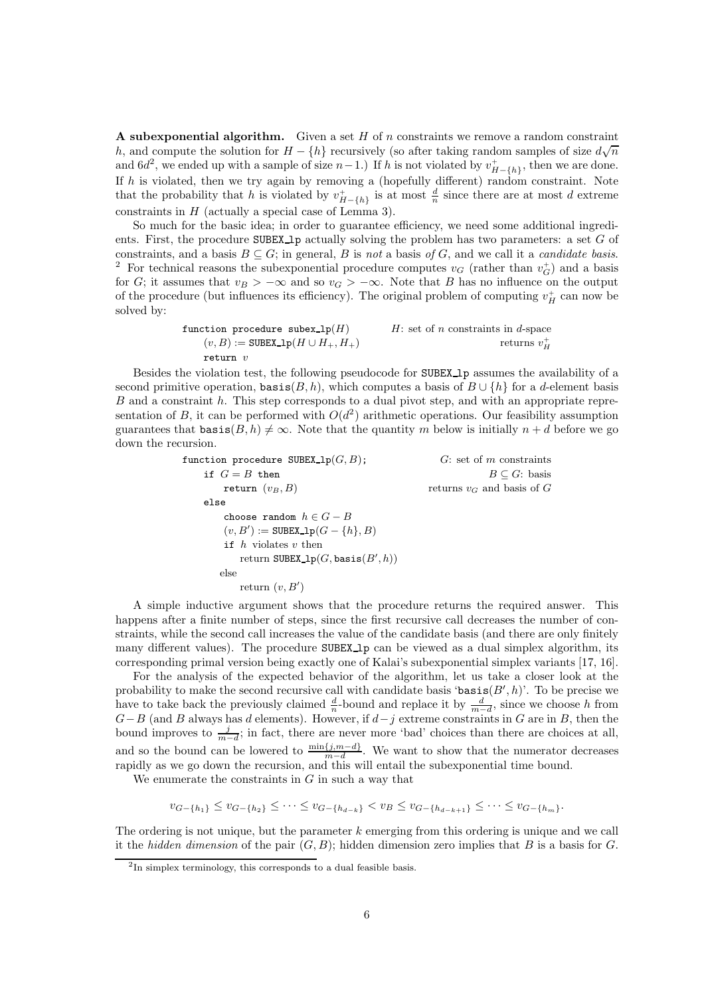A subexponential algorithm. Given a set  $H$  of n constraints we remove a random constraint h, and compute the solution for  $H - \{h\}$  recursively (so after taking random samples of size  $d\sqrt{n}$ and  $6d^2$ , we ended up with a sample of size  $n-1$ .) If h is not violated by  $v^+_{H-\lbrace h \rbrace}$ , then we are done. If h is violated, then we try again by removing a (hopefully different) random constraint. Note that the probability that h is violated by  $v_{H-\{h\}}^+$  is at most  $\frac{d}{n}$  since there are at most d extreme constraints in  $H$  (actually a special case of Lemma 3).

So much for the basic idea; in order to guarantee efficiency, we need some additional ingredients. First, the procedure  $SUBEX\_lp$  actually solving the problem has two parameters: a set G of constraints, and a basis  $B \subseteq G$ ; in general, B is not a basis of G, and we call it a *candidate basis*. <sup>2</sup> For technical reasons the subexponential procedure computes  $v_G$  (rather than  $v_G^+$ ) and a basis for G; it assumes that  $v_B > -\infty$  and so  $v_G > -\infty$ . Note that B has no influence on the output of the procedure (but influences its efficiency). The original problem of computing  $v_H^+$  can now be solved by:

function procedure 
$$
\text{subex\_lp}(H)
$$
  $H$ : set of *n* constraints in *d*-space  $(v, B) := \text{SUBEX\_lp}(H \cup H_+, H_+)$  return *v*

Besides the violation test, the following pseudocode for SUBEX<sub>1</sub> assumes the availability of a second primitive operation,  $\text{basis}(B, h)$ , which computes a basis of  $B \cup \{h\}$  for a d-element basis B and a constraint h. This step corresponds to a dual pivot step, and with an appropriate representation of B, it can be performed with  $O(d^2)$  arithmetic operations. Our feasibility assumption guarantees that  $\text{basis}(B, h) \neq \infty$ . Note that the quantity m below is initially  $n + d$  before we go down the recursion.

> function procedure SUBEX  $\text{lp}(G, B)$ ; G: set of m constraints if  $G = B$  then  $B \subseteq G$ : basis<br>return  $(v_B, B)$  returns  $v_G$  and basis of  $G$ returns  $v_G$  and basis of G else choose random  $h \in G - B$  $(v, B') := \texttt{SUBEX\_lp}(G - \{h\}, B)$ if  $h$  violates  $v$  then return SUBEX\_1 $p(G, \text{basis}(B', h))$ else return  $(v, B')$

A simple inductive argument shows that the procedure returns the required answer. This happens after a finite number of steps, since the first recursive call decreases the number of constraints, while the second call increases the value of the candidate basis (and there are only finitely many different values). The procedure SUBEX<sub>1</sub> can be viewed as a dual simplex algorithm, its corresponding primal version being exactly one of Kalai's subexponential simplex variants [17, 16].

For the analysis of the expected behavior of the algorithm, let us take a closer look at the probability to make the second recursive call with candidate basis 'basis $(B', h)$ '. To be precise we have to take back the previously claimed  $\frac{d}{n}$ -bound and replace it by  $\frac{d}{m-d}$ , since we choose h from  $G-B$  (and B always has d elements). However, if  $d-j$  extreme constraints in G are in B, then the bound improves to  $\frac{j}{m-d}$ ; in fact, there are never more 'bad' choices than there are choices at all, and so the bound can be lowered to  $\frac{\min\{j,m-d\}}{m-d}$ . We want to show that the numerator decreases rapidly as we go down the recursion, and this will entail the subexponential time bound.

We enumerate the constraints in  $G$  in such a way that

 $v_{G-\{h_1\}} \leq v_{G-\{h_2\}} \leq \cdots \leq v_{G-\{h_{d-k}\}} < v_B \leq v_{G-\{h_{d-k+1}\}} \leq \cdots \leq v_{G-\{h_m\}}.$ 

The ordering is not unique, but the parameter  $k$  emerging from this ordering is unique and we call it the hidden dimension of the pair  $(G, B)$ ; hidden dimension zero implies that B is a basis for G.

<sup>&</sup>lt;sup>2</sup>In simplex terminology, this corresponds to a dual feasible basis.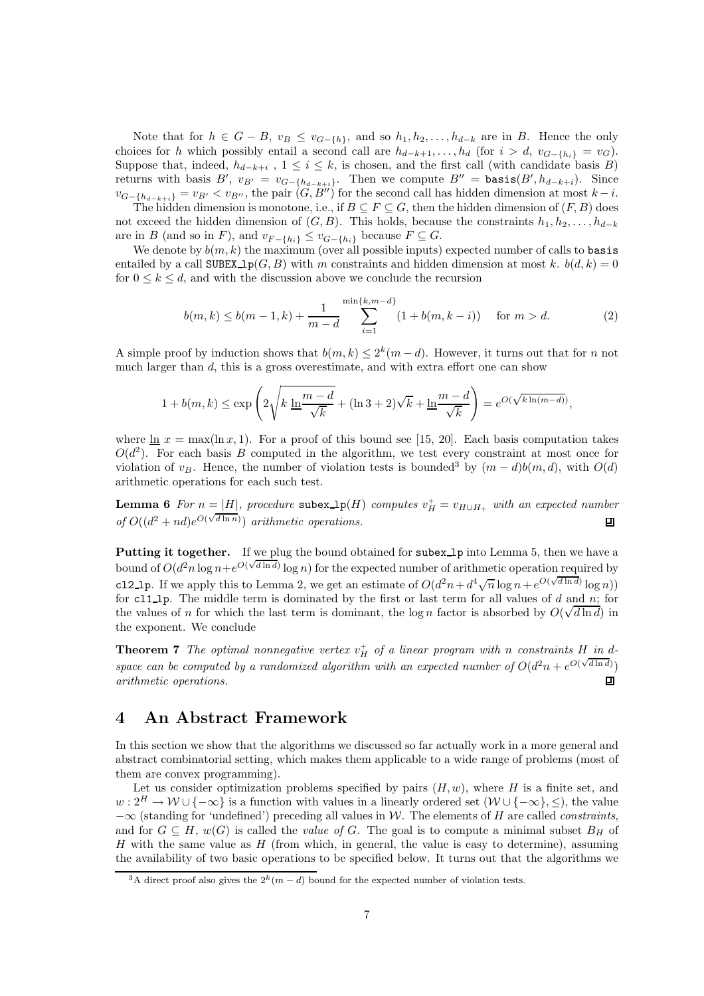Note that for  $h \in G - B$ ,  $v_B \le v_{G-\{h\}}$ , and so  $h_1, h_2, \ldots, h_{d-k}$  are in B. Hence the only choices for h which possibly entail a second call are  $h_{d-k+1}, \ldots, h_d$  (for  $i > d$ ,  $v_{G-\lbrace h_i \rbrace} = v_G$ ). Suppose that, indeed,  $h_{d-k+i}$ ,  $1 \leq i \leq k$ , is chosen, and the first call (with candidate basis B) returns with basis  $B'$ ,  $v_{B'} = v_{G - \{h_{d-k+i}\}}$ . Then we compute  $B'' = \text{basis}(B', h_{d-k+i})$ . Since  $v_{G-\{h_{d-k+i}\}} = v_{B'} < v_{B''}$ , the pair  $(G, B'')$  for the second call has hidden dimension at most  $k-i$ .

The hidden dimension is monotone, i.e., if  $B \subseteq F \subseteq G$ , then the hidden dimension of  $(F, B)$  does not exceed the hidden dimension of  $(G, B)$ . This holds, because the constraints  $h_1, h_2, \ldots, h_{d-k}$ are in B (and so in F), and  $v_{F-\lbrace h_i \rbrace} \le v_{G-\lbrace h_i \rbrace}$  because  $F \subseteq G$ .

We denote by  $b(m, k)$  the maximum (over all possible inputs) expected number of calls to basis entailed by a call SUBEX<sub>-</sub>1 $p(G, B)$  with m constraints and hidden dimension at most k.  $b(d, k) = 0$ for  $0 \leq k \leq d$ , and with the discussion above we conclude the recursion

$$
b(m,k) \le b(m-1,k) + \frac{1}{m-d} \sum_{i=1}^{\min\{k,m-d\}} (1 + b(m,k-i)) \quad \text{for } m > d.
$$
 (2)

A simple proof by induction shows that  $b(m, k) \leq 2^k(m - d)$ . However, it turns out that for *n* not much larger than  $d$ , this is a gross overestimate, and with extra effort one can show

$$
1 + b(m, k) \le \exp\left(2\sqrt{k \ln \frac{m-d}{\sqrt{k}}} + (\ln 3 + 2)\sqrt{k} + \ln \frac{m-d}{\sqrt{k}}\right) = e^{O(\sqrt{k \ln(m-d)})},
$$

where  $\ln x = \max(\ln x, 1)$ . For a proof of this bound see [15, 20]. Each basis computation takes  $O(d^2)$ . For each basis B computed in the algorithm, we test every constraint at most once for violation of  $v_B$ . Hence, the number of violation tests is bounded<sup>3</sup> by  $(m - d)b(m, d)$ , with  $O(d)$ arithmetic operations for each such test.

**Lemma 6** For  $n = |H|$ , procedure subex  $\text{lp}(H)$  computes  $v_H^+ = v_{H \cup H_+}$  with an expected number of  $O((d^2 + nd)e^{O(\sqrt{d \ln n})})$  arithmetic operations.  $\Box$ 

Putting it together. If we plug the bound obtained for subex 1p into Lemma 5, then we have a bound of  $O(d^2 n \log n + e^{O(\sqrt{d \ln d})} \log n)$  for the expected number of arithmetic operation required by cl2\_lp. If we apply this to Lemma 2, we get an estimate of  $O(d^2n + d^4\sqrt{n}\log n + e^{O(\sqrt{d\ln d})}\log n)$ for cl1\_lp. The middle term is dominated by the first or last term for all values of d and  $n$ ; for the values of *n* for which the last term is dominant, the log *n* factor is absorbed by  $O(\sqrt{d \ln d})$  in the exponent. We conclude

**Theorem 7** The optimal nonnegative vertex  $v_H^+$  of a linear program with n constraints H in dspace can be computed by a randomized algorithm with an expected number of  $O(d^2n + e^{O(\sqrt{d \ln d}}))$ arithmetic operations.  $\Box$ 

## 4 An Abstract Framework

In this section we show that the algorithms we discussed so far actually work in a more general and abstract combinatorial setting, which makes them applicable to a wide range of problems (most of them are convex programming).

Let us consider optimization problems specified by pairs  $(H, w)$ , where H is a finite set, and  $w: 2^H \to \mathcal{W} \cup \{-\infty\}$  is a function with values in a linearly ordered set  $(\mathcal{W} \cup \{-\infty\}, \leq)$ , the value  $-\infty$  (standing for 'undefined') preceding all values in W. The elements of H are called *constraints*, and for  $G \subseteq H$ ,  $w(G)$  is called the *value of G*. The goal is to compute a minimal subset  $B_H$  of H with the same value as  $H$  (from which, in general, the value is easy to determine), assuming the availability of two basic operations to be specified below. It turns out that the algorithms we

<sup>&</sup>lt;sup>3</sup>A direct proof also gives the  $2^k(m-d)$  bound for the expected number of violation tests.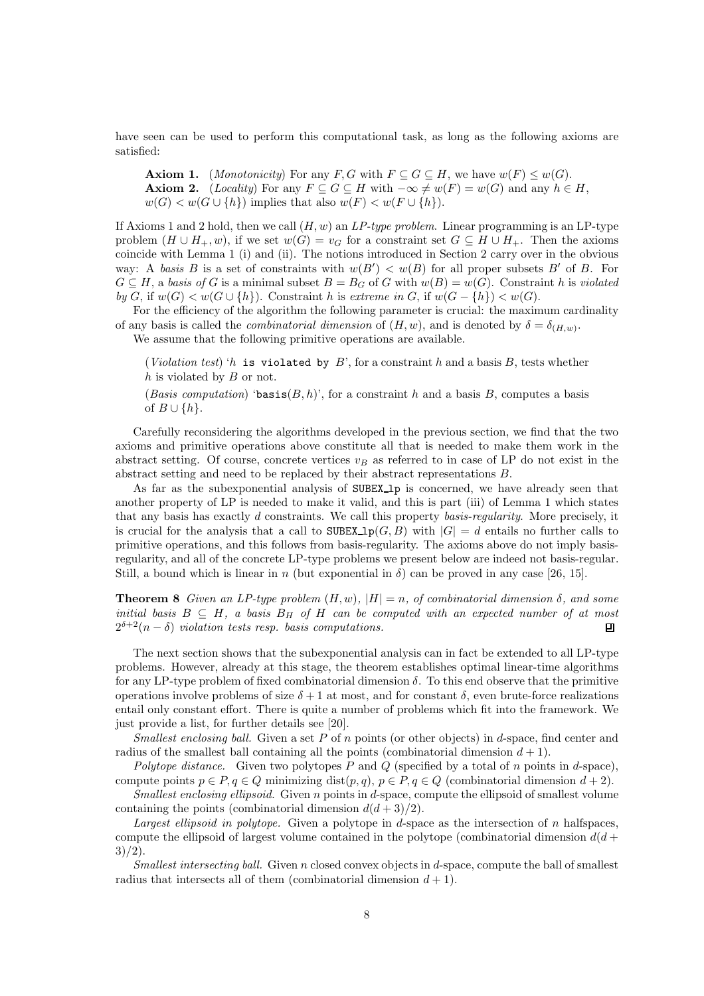have seen can be used to perform this computational task, as long as the following axioms are satisfied:

**Axiom 1.** (Monotonicity) For any F, G with  $F \subseteq G \subseteq H$ , we have  $w(F) \leq w(G)$ . **Axiom 2.** (Locality) For any  $F \subseteq G \subseteq H$  with  $-\infty \neq w(F) = w(G)$  and any  $h \in H$ ,  $w(G) < w(G \cup \{h\})$  implies that also  $w(F) < w(F \cup \{h\})$ .

If Axioms 1 and 2 hold, then we call  $(H, w)$  an  $LP$ -type problem. Linear programming is an LP-type problem  $(H \cup H_+, w)$ , if we set  $w(G) = v_G$  for a constraint set  $G \subseteq H \cup H_+$ . Then the axioms coincide with Lemma 1 (i) and (ii). The notions introduced in Section 2 carry over in the obvious way: A basis B is a set of constraints with  $w(B') < w(B)$  for all proper subsets B' of B. For  $G \subseteq H$ , a basis of G is a minimal subset  $B = B_G$  of G with  $w(B) = w(G)$ . Constraint h is violated by G, if  $w(G) < w(G \cup \{h\})$ . Constraint h is extreme in G, if  $w(G - \{h\}) < w(G)$ .

For the efficiency of the algorithm the following parameter is crucial: the maximum cardinality of any basis is called the *combinatorial dimension* of  $(H, w)$ , and is denoted by  $\delta = \delta_{(H, w)}$ .

We assume that the following primitive operations are available.

(Violation test) 'h is violated by  $B$ ', for a constraint h and a basis B, tests whether  $h$  is violated by  $B$  or not.

(Basis computation) 'basis $(B, h)$ ', for a constraint h and a basis B, computes a basis of  $B \cup \{h\}.$ 

Carefully reconsidering the algorithms developed in the previous section, we find that the two axioms and primitive operations above constitute all that is needed to make them work in the abstract setting. Of course, concrete vertices  $v_B$  as referred to in case of LP do not exist in the abstract setting and need to be replaced by their abstract representations B.

As far as the subexponential analysis of SUBEX lp is concerned, we have already seen that another property of LP is needed to make it valid, and this is part (iii) of Lemma 1 which states that any basis has exactly d constraints. We call this property basis-regularity. More precisely, it is crucial for the analysis that a call to  $\texttt{SUBEX\_lp}(G, B)$  with  $|G| = d$  entails no further calls to primitive operations, and this follows from basis-regularity. The axioms above do not imply basisregularity, and all of the concrete LP-type problems we present below are indeed not basis-regular. Still, a bound which is linear in n (but exponential in  $\delta$ ) can be proved in any case [26, 15].

**Theorem 8** Given an LP-type problem  $(H, w)$ ,  $|H| = n$ , of combinatorial dimension  $\delta$ , and some initial basis  $B \subseteq H$ , a basis  $B_H$  of  $H$  can be computed with an expected number of at most  $2^{\delta+2}(n-\delta)$  violation tests resp. basis computations.  $\Box$  $2^{\delta+2}(n-\delta)$  violation tests resp. basis computations.

The next section shows that the subexponential analysis can in fact be extended to all LP-type problems. However, already at this stage, the theorem establishes optimal linear-time algorithms for any LP-type problem of fixed combinatorial dimension  $\delta$ . To this end observe that the primitive operations involve problems of size  $\delta + 1$  at most, and for constant  $\delta$ , even brute-force realizations entail only constant effort. There is quite a number of problems which fit into the framework. We just provide a list, for further details see [20].

*Smallest enclosing ball.* Given a set P of n points (or other objects) in d-space, find center and radius of the smallest ball containing all the points (combinatorial dimension  $d+1$ ).

Polytope distance. Given two polytopes P and Q (specified by a total of n points in d-space), compute points  $p \in P, q \in Q$  minimizing dist $(p, q), p \in P, q \in Q$  (combinatorial dimension  $d+2$ ).

Smallest enclosing ellipsoid. Given n points in d-space, compute the ellipsoid of smallest volume containing the points (combinatorial dimension  $d(d+3)/2$ ).

Largest ellipsoid in polytope. Given a polytope in d-space as the intersection of n halfspaces, compute the ellipsoid of largest volume contained in the polytope (combinatorial dimension  $d(d +$  $3)/2$ ).

Smallest intersecting ball. Given n closed convex objects in d-space, compute the ball of smallest radius that intersects all of them (combinatorial dimension  $d + 1$ ).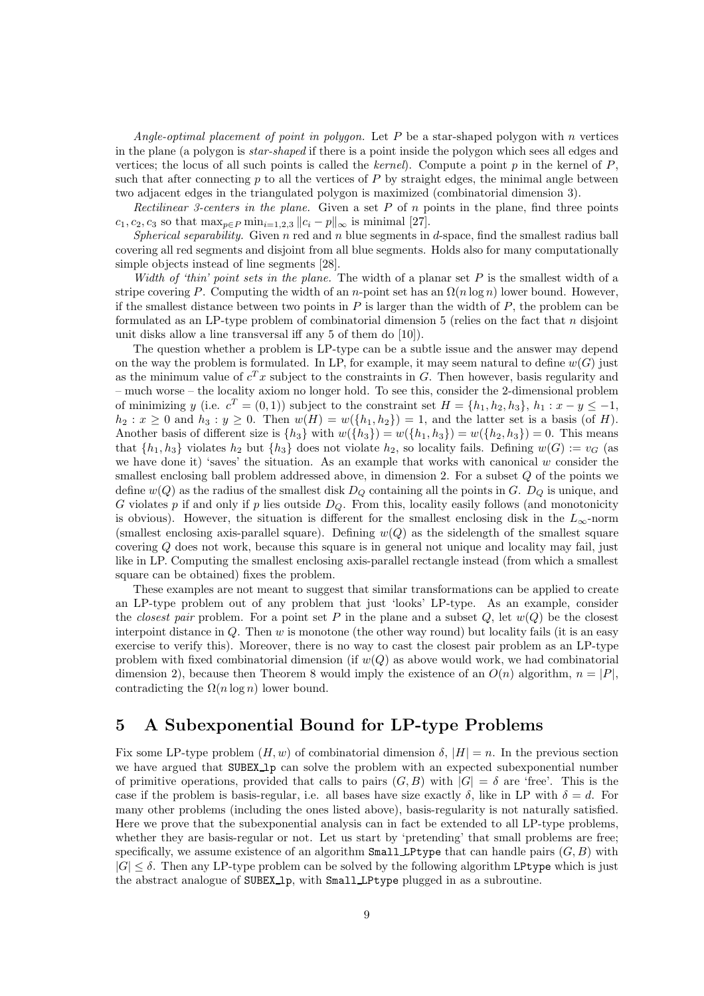Angle-optimal placement of point in polygon. Let P be a star-shaped polygon with n vertices in the plane (a polygon is star-shaped if there is a point inside the polygon which sees all edges and vertices; the locus of all such points is called the kernel). Compute a point p in the kernel of  $P$ . such that after connecting p to all the vertices of P by straight edges, the minimal angle between two adjacent edges in the triangulated polygon is maximized (combinatorial dimension 3).

Rectilinear 3-centers in the plane. Given a set  $P$  of  $n$  points in the plane, find three points  $c_1, c_2, c_3$  so that  $\max_{p \in P} \min_{i=1,2,3} ||c_i - p||_{\infty}$  is minimal [27].

Spherical separability. Given n red and n blue segments in d-space, find the smallest radius ball covering all red segments and disjoint from all blue segments. Holds also for many computationally simple objects instead of line segments [28].

Width of 'thin' point sets in the plane. The width of a planar set  $P$  is the smallest width of a stripe covering P. Computing the width of an n-point set has an  $\Omega(n \log n)$  lower bound. However, if the smallest distance between two points in  $P$  is larger than the width of  $P$ , the problem can be formulated as an LP-type problem of combinatorial dimension  $5$  (relies on the fact that n disjoint unit disks allow a line transversal iff any 5 of them do [10]).

The question whether a problem is LP-type can be a subtle issue and the answer may depend on the way the problem is formulated. In LP, for example, it may seem natural to define  $w(G)$  just as the minimum value of  $c^T x$  subject to the constraints in G. Then however, basis regularity and – much worse – the locality axiom no longer hold. To see this, consider the 2-dimensional problem of minimizing y (i.e.  $c^T = (0, 1)$ ) subject to the constraint set  $H = \{h_1, h_2, h_3\}, h_1 : x - y \le -1$ ,  $h_2 : x \geq 0$  and  $h_3 : y \geq 0$ . Then  $w(H) = w(\lbrace h_1, h_2 \rbrace) = 1$ , and the latter set is a basis (of H). Another basis of different size is  $\{h_3\}$  with  $w(\{h_3\}) = w(\{h_1, h_3\}) = w(\{h_2, h_3\}) = 0$ . This means that  $\{h_1, h_3\}$  violates  $h_2$  but  $\{h_3\}$  does not violate  $h_2$ , so locality fails. Defining  $w(G) := v_G$  (as we have done it) 'saves' the situation. As an example that works with canonical  $w$  consider the smallest enclosing ball problem addressed above, in dimension  $2$ . For a subset  $Q$  of the points we define  $w(Q)$  as the radius of the smallest disk  $D<sub>O</sub>$  containing all the points in G.  $D<sub>O</sub>$  is unique, and G violates  $p$  if and only if  $p$  lies outside  $D_Q$ . From this, locality easily follows (and monotonicity is obvious). However, the situation is different for the smallest enclosing disk in the  $L_{\infty}$ -norm (smallest enclosing axis-parallel square). Defining  $w(Q)$  as the sidelength of the smallest square covering Q does not work, because this square is in general not unique and locality may fail, just like in LP. Computing the smallest enclosing axis-parallel rectangle instead (from which a smallest square can be obtained) fixes the problem.

These examples are not meant to suggest that similar transformations can be applied to create an LP-type problem out of any problem that just 'looks' LP-type. As an example, consider the closest pair problem. For a point set P in the plane and a subset Q, let  $w(Q)$  be the closest interpoint distance in  $Q$ . Then  $w$  is monotone (the other way round) but locality fails (it is an easy exercise to verify this). Moreover, there is no way to cast the closest pair problem as an LP-type problem with fixed combinatorial dimension (if  $w(Q)$  as above would work, we had combinatorial dimension 2), because then Theorem 8 would imply the existence of an  $O(n)$  algorithm,  $n = |P|$ , contradicting the  $\Omega(n \log n)$  lower bound.

## 5 A Subexponential Bound for LP-type Problems

Fix some LP-type problem  $(H, w)$  of combinatorial dimension  $\delta, |H| = n$ . In the previous section we have argued that SUBEX<sub>-1</sub> can solve the problem with an expected subexponential number of primitive operations, provided that calls to pairs  $(G, B)$  with  $|G| = \delta$  are 'free'. This is the case if the problem is basis-regular, i.e. all bases have size exactly  $\delta$ , like in LP with  $\delta = d$ . For many other problems (including the ones listed above), basis-regularity is not naturally satisfied. Here we prove that the subexponential analysis can in fact be extended to all LP-type problems, whether they are basis-regular or not. Let us start by 'pretending' that small problems are free; specifically, we assume existence of an algorithm  $\texttt{SmallLPtype}$  that can handle pairs  $(G, B)$  with  $|G| \leq \delta$ . Then any LP-type problem can be solved by the following algorithm LPtype which is just the abstract analogue of SUBEX 1p, with Small LPtype plugged in as a subroutine.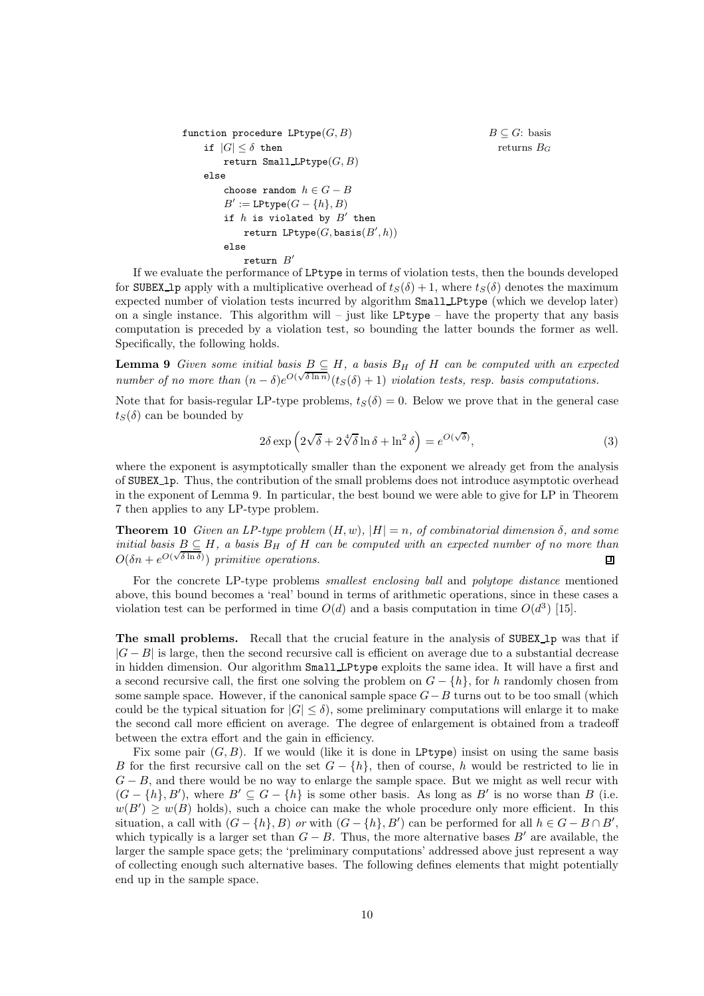```
function procedure LPtype(G, B)<br>
if |G| \leq \delta then returns B_Gif |G| \leq \delta then
        return Small LPtype(G, B)else
        choose random h \in G - BB' := \texttt{LPtype}(G - \{h\}, B)if h is violated by B' then
             return LPtype(G, \texttt{basis}(B', h))else
             return B'
```
If we evaluate the performance of LPtype in terms of violation tests, then the bounds developed for SUBEX 1p apply with a multiplicative overhead of  $t_S(\delta) + 1$ , where  $t_S(\delta)$  denotes the maximum expected number of violation tests incurred by algorithm Small LPtype (which we develop later) on a single instance. This algorithm will – just like LPtype – have the property that any basis computation is preceded by a violation test, so bounding the latter bounds the former as well. Specifically, the following holds.

**Lemma 9** Given some initial basis  $B \subseteq H$ , a basis  $B_H$  of H can be computed with an expected number of no more than  $(n - \delta)e^{O(\sqrt{\delta \ln n})}(tS(\delta) + 1)$  violation tests, resp. basis computations.

Note that for basis-regular LP-type problems,  $t_S(\delta) = 0$ . Below we prove that in the general case  $t_S(\delta)$  can be bounded by

$$
2\delta \exp\left(2\sqrt{\delta} + 2\sqrt[4]{\delta}\ln \delta + \ln^2 \delta\right) = e^{O(\sqrt{\delta})},\tag{3}
$$

where the exponent is asymptotically smaller than the exponent we already get from the analysis of SUBEX lp. Thus, the contribution of the small problems does not introduce asymptotic overhead in the exponent of Lemma 9. In particular, the best bound we were able to give for LP in Theorem 7 then applies to any LP-type problem.

**Theorem 10** Given an LP-type problem  $(H, w)$ ,  $|H| = n$ , of combinatorial dimension  $\delta$ , and some initial basis  $B \subseteq H$ , a basis  $B_H$  of H can be computed with an expected number of no more than  $O(\delta n + e^{O(\sqrt{\delta \ln \delta})})$  primitive operations.  $O(\delta n + e^{O(\sqrt{\delta \ln \delta})})$  primitive operations.

For the concrete LP-type problems *smallest enclosing ball* and *polytope distance* mentioned above, this bound becomes a 'real' bound in terms of arithmetic operations, since in these cases a violation test can be performed in time  $O(d)$  and a basis computation in time  $O(d^3)$  [15].

The small problems. Recall that the crucial feature in the analysis of SUBEX lp was that if  $|G - B|$  is large, then the second recursive call is efficient on average due to a substantial decrease in hidden dimension. Our algorithm Small LPtype exploits the same idea. It will have a first and a second recursive call, the first one solving the problem on  $G - \{h\}$ , for h randomly chosen from some sample space. However, if the canonical sample space  $G-B$  turns out to be too small (which could be the typical situation for  $|G| < \delta$ , some preliminary computations will enlarge it to make the second call more efficient on average. The degree of enlargement is obtained from a tradeoff between the extra effort and the gain in efficiency.

Fix some pair  $(G, B)$ . If we would (like it is done in LPtype) insist on using the same basis B for the first recursive call on the set  $G - \{h\}$ , then of course, h would be restricted to lie in  $G - B$ , and there would be no way to enlarge the sample space. But we might as well recur with  $(G - \{h\}, B')$ , where  $B' \subseteq G - \{h\}$  is some other basis. As long as  $B'$  is no worse than B (i.e.  $w(B') \geq w(B)$  holds), such a choice can make the whole procedure only more efficient. In this situation, a call with  $(G - \{h\}, B)$  or with  $(G - \{h\}, B')$  can be performed for all  $h \in G - B \cap B'$ , which typically is a larger set than  $G - B$ . Thus, the more alternative bases B' are available, the larger the sample space gets; the 'preliminary computations' addressed above just represent a way of collecting enough such alternative bases. The following defines elements that might potentially end up in the sample space.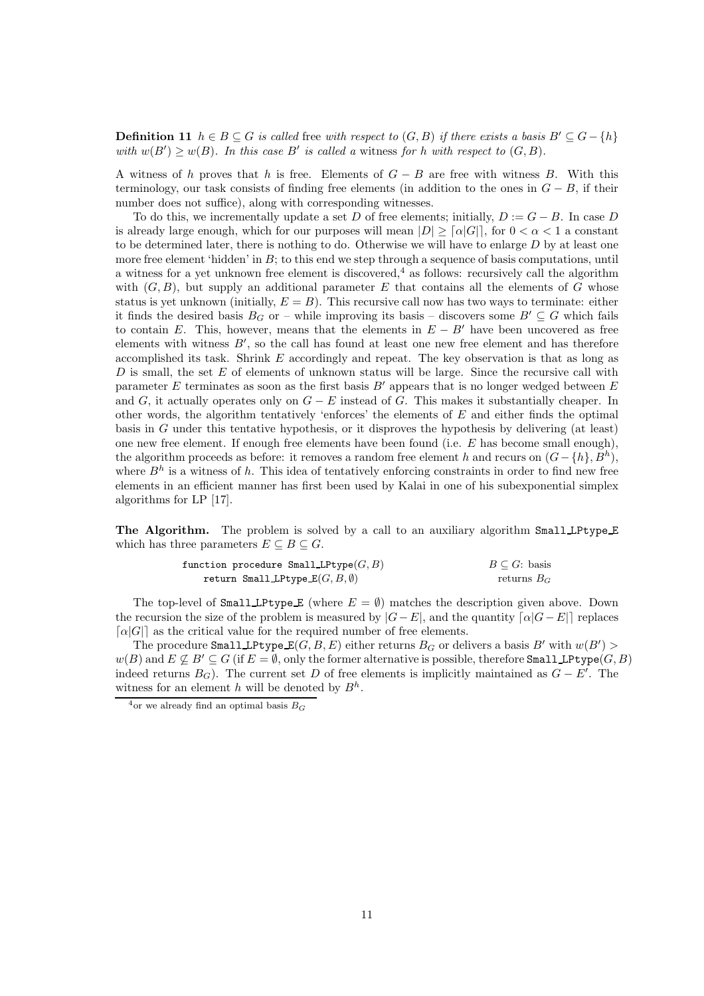**Definition 11**  $h \in B \subseteq G$  is called free with respect to  $(G, B)$  if there exists a basis  $B' \subseteq G - \{h\}$ with  $w(B') \ge w(B)$ . In this case B' is called a witness for h with respect to  $(G, B)$ .

A witness of h proves that h is free. Elements of  $G - B$  are free with witness B. With this terminology, our task consists of finding free elements (in addition to the ones in  $G - B$ , if their number does not suffice), along with corresponding witnesses.

To do this, we incrementally update a set D of free elements; initially,  $D := G - B$ . In case D is already large enough, which for our purposes will mean  $|D| \geq \lceil \alpha |G| \rceil$ , for  $0 < \alpha < 1$  a constant to be determined later, there is nothing to do. Otherwise we will have to enlarge  $D$  by at least one more free element 'hidden' in  $B$ ; to this end we step through a sequence of basis computations, until a witness for a yet unknown free element is discovered,<sup>4</sup> as follows: recursively call the algorithm with  $(G, B)$ , but supply an additional parameter E that contains all the elements of G whose status is yet unknown (initially,  $E = B$ ). This recursive call now has two ways to terminate: either it finds the desired basis  $B_G$  or – while improving its basis – discovers some  $B' \subseteq G$  which fails to contain E. This, however, means that the elements in  $E - B'$  have been uncovered as free elements with witness B′ , so the call has found at least one new free element and has therefore accomplished its task. Shrink  $E$  accordingly and repeat. The key observation is that as long as  $D$  is small, the set  $E$  of elements of unknown status will be large. Since the recursive call with parameter  $E$  terminates as soon as the first basis  $B'$  appears that is no longer wedged between  $E$ and G, it actually operates only on  $G - E$  instead of G. This makes it substantially cheaper. In other words, the algorithm tentatively 'enforces' the elements of  $E$  and either finds the optimal basis in G under this tentative hypothesis, or it disproves the hypothesis by delivering (at least) one new free element. If enough free elements have been found (i.e. E has become small enough), the algorithm proceeds as before: it removes a random free element h and recurs on  $(G - \{h\}, B^h)$ , where  $B<sup>h</sup>$  is a witness of h. This idea of tentatively enforcing constraints in order to find new free elements in an efficient manner has first been used by Kalai in one of his subexponential simplex algorithms for LP [17].

The Algorithm. The problem is solved by a call to an auxiliary algorithm Small LPtype E which has three parameters  $E \subseteq B \subseteq G$ .

| function procedure Small LPtype $(G, B)$ | $B\subseteq G$ : basis |
|------------------------------------------|------------------------|
| return Small LPtype $E(G, B, \emptyset)$ | returns $B_G$          |

The top-level of Small LPtype E (where  $E = \emptyset$ ) matches the description given above. Down the recursion the size of the problem is measured by  $|G-E|$ , and the quantity  $\lceil \alpha |G-E| \rceil$  replaces  $\lceil \alpha |G| \rceil$  as the critical value for the required number of free elements.

The procedure  $\texttt{SmallLPtype\_E}(G,B,E)$  either returns  $B_G$  or delivers a basis  $B'$  with  $w(B')>$  $w(B)$  and  $E \not\subseteq B' \subseteq G$  (if  $E = \emptyset$ , only the former alternative is possible, therefore **Small LPtype** $(G, B)$ ) indeed returns  $B_G$ ). The current set D of free elements is implicitly maintained as  $G - E'$ . The witness for an element h will be denoted by  $B<sup>h</sup>$ .

 $^{4}$ or we already find an optimal basis  $B_G$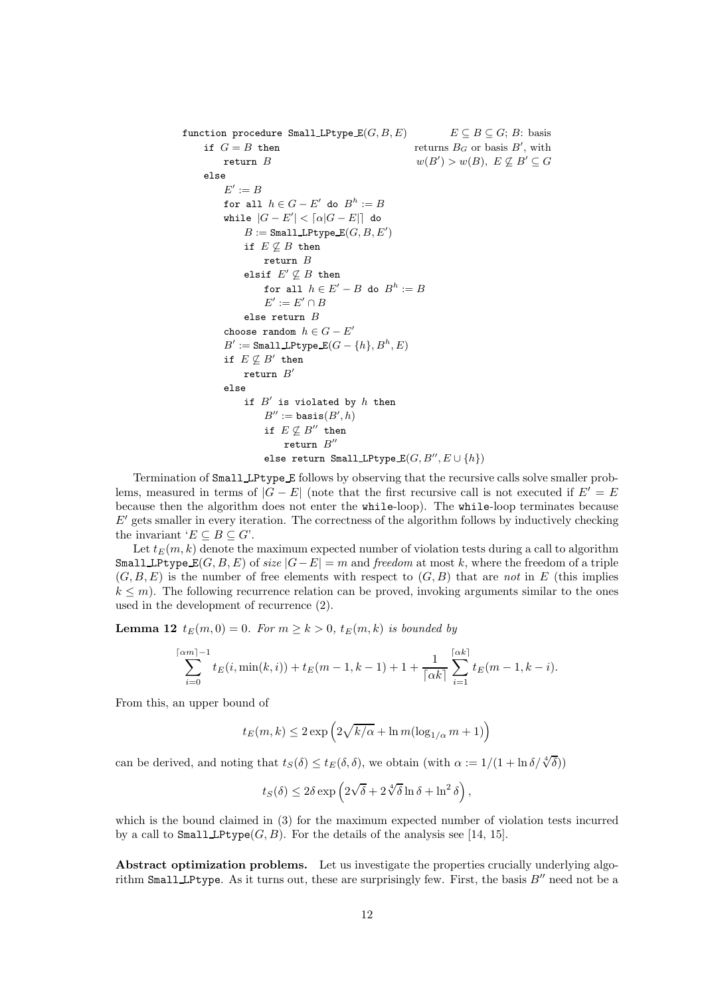function procedure Small LPtype  $E(G, B, E)$   $E \subseteq B \subseteq G$ ; B: basis if  $G = B$  then returns  $B_G$  or basis B', with if  $G = B$  then returns  $B_G$  or basis  $B'$ , with return  $B$  $y > w(B), E \nsubseteq B' \subseteq G$ else  $E' := B$ for all  $h \in G - E'$  do  $B^h := B$ while  $|G - E'| < \lceil \alpha |G - E| \rceil$  do  $B :=$  Small LPtype  $\mathbb{E}(G, B, E')$ if  $E \not\subseteq B$  then return  $B$ elsif  $E' \nsubseteq B$  then for all  $h \in E' - B$  do  $B^h := B$  $E' := E' \cap B$ else return B choose random  $h \in G - E'$  $B':=\mathtt{Small\_LPtype\_E}(G-\{h\},B^h,E)$ if  $E \not\subseteq B'$  then  $r$ eturn  $B'$ else if  $B'$  is violated by  $h$  then  $B'' := \mathtt{basis}(B', h)$ if  $E \not\subseteq B''$  then  $r$ eturn  $B''$ else return Small LPtype  $\texttt{E}(G, B'', E \cup \{h\})$ 

Termination of Small LPtype E follows by observing that the recursive calls solve smaller problems, measured in terms of  $|G - E|$  (note that the first recursive call is not executed if  $E' = E$ because then the algorithm does not enter the while-loop). The while-loop terminates because  $E'$  gets smaller in every iteration. The correctness of the algorithm follows by inductively checking the invariant ' $E \subseteq B \subseteq G$ '.

Let  $t_E(m, k)$  denote the maximum expected number of violation tests during a call to algorithm Small LPtype  $E(G, B, E)$  of size  $|G - E| = m$  and freedom at most k, where the freedom of a triple  $(G, B, E)$  is the number of free elements with respect to  $(G, B)$  that are not in E (this implies  $k \leq m$ ). The following recurrence relation can be proved, invoking arguments similar to the ones used in the development of recurrence (2).

**Lemma 12**  $t_E(m, 0) = 0$ . For  $m \ge k > 0$ ,  $t_E(m, k)$  is bounded by

$$
\sum_{i=0}^{\lceil \alpha m \rceil - 1} t_E(i, \min(k, i)) + t_E(m - 1, k - 1) + 1 + \frac{1}{\lceil \alpha k \rceil} \sum_{i=1}^{\lceil \alpha k \rceil} t_E(m - 1, k - i).
$$

From this, an upper bound of

$$
t_E(m,k) \leq 2\exp\left(2\sqrt{k/\alpha} + \ln m(\log_{1/\alpha} m + 1)\right)
$$

can be derived, and noting that  $t_S(\delta) \leq t_E(\delta, \delta)$ , we obtain (with  $\alpha := 1/(1 + \ln \delta / \sqrt[4]{\delta})$ )

$$
t_S(\delta) \leq 2\delta \exp\left(2\sqrt{\delta} + 2\sqrt[4]{\delta}\ln\delta + \ln^2\delta\right),\,
$$

which is the bound claimed in (3) for the maximum expected number of violation tests incurred by a call to  $\texttt{Small\_LPtype}(G, B)$ . For the details of the analysis see [14, 15].

Abstract optimization problems. Let us investigate the properties crucially underlying algorithm Small LPtype. As it turns out, these are surprisingly few. First, the basis  $B''$  need not be a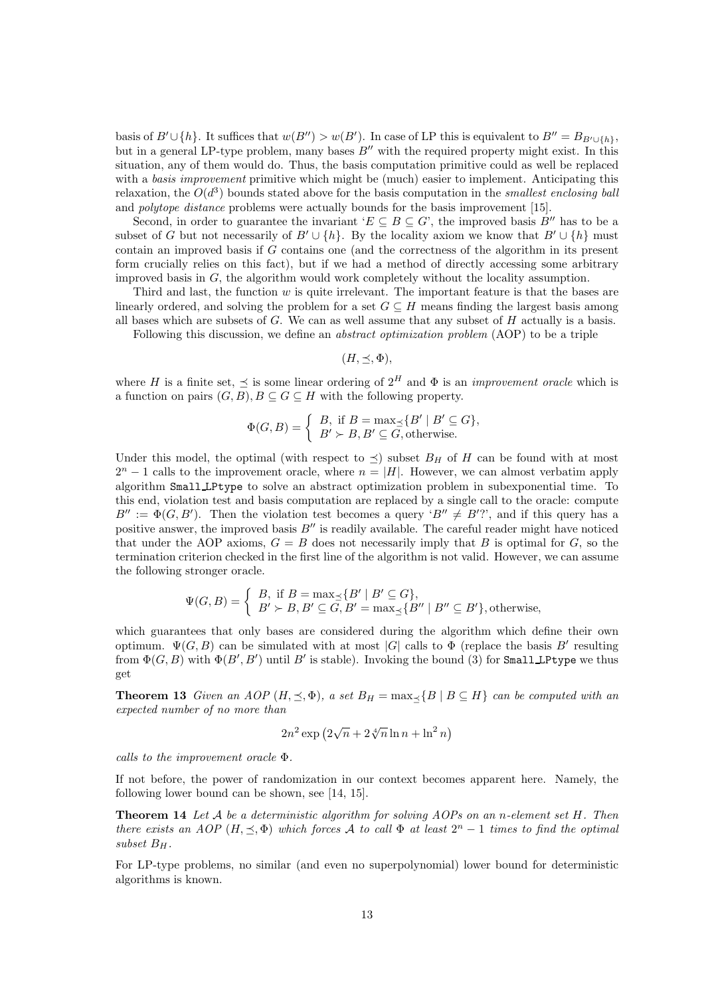basis of  $B' \cup \{h\}$ . It suffices that  $w(B'') > w(B')$ . In case of LP this is equivalent to  $B'' = B_{B' \cup \{h\}}$ , but in a general LP-type problem, many bases  $B''$  with the required property might exist. In this situation, any of them would do. Thus, the basis computation primitive could as well be replaced with a *basis improvement* primitive which might be (much) easier to implement. Anticipating this relaxation, the  $O(d^3)$  bounds stated above for the basis computation in the smallest enclosing ball and polytope distance problems were actually bounds for the basis improvement [15].

Second, in order to guarantee the invariant ' $E \subseteq B \subseteq G$ ', the improved basis B'' has to be a subset of G but not necessarily of  $B' \cup \{h\}$ . By the locality axiom we know that  $B' \cup \{h\}$  must contain an improved basis if G contains one (and the correctness of the algorithm in its present form crucially relies on this fact), but if we had a method of directly accessing some arbitrary improved basis in G, the algorithm would work completely without the locality assumption.

Third and last, the function  $w$  is quite irrelevant. The important feature is that the bases are linearly ordered, and solving the problem for a set  $G \subseteq H$  means finding the largest basis among all bases which are subsets of  $G$ . We can as well assume that any subset of  $H$  actually is a basis.

Following this discussion, we define an abstract optimization problem (AOP) to be a triple

 $(H, \prec, \Phi),$ 

where H is a finite set,  $\leq$  is some linear ordering of  $2^H$  and  $\Phi$  is an *improvement oracle* which is a function on pairs  $(G, B), B \subseteq G \subseteq H$  with the following property.

$$
\Phi(G, B) = \begin{cases} B, & \text{if } B = \max_{\preceq} \{ B' \mid B' \subseteq G \}, \\ B' \succ B, B' \subseteq G, \text{otherwise.} \end{cases}
$$

Under this model, the optimal (with respect to  $\preceq$ ) subset  $B_H$  of H can be found with at most  $2<sup>n</sup> - 1$  calls to the improvement oracle, where  $n = |H|$ . However, we can almost verbatim apply algorithm Small LPtype to solve an abstract optimization problem in subexponential time. To this end, violation test and basis computation are replaced by a single call to the oracle: compute  $B'' := \Phi(G, B')$ . Then the violation test becomes a query ' $B'' \neq B'$ ?', and if this query has a positive answer, the improved basis  $B''$  is readily available. The careful reader might have noticed that under the AOP axioms,  $G = B$  does not necessarily imply that B is optimal for G, so the termination criterion checked in the first line of the algorithm is not valid. However, we can assume the following stronger oracle.

$$
\Psi(G, B) = \begin{cases} B, & \text{if } B = \max_{\preceq} \{ B' \mid B' \subseteq G \}, \\ B' \succ B, B' \subseteq G, B' = \max_{\preceq} \{ B'' \mid B'' \subseteq B' \}, \text{otherwise,} \end{cases}
$$

which guarantees that only bases are considered during the algorithm which define their own optimum.  $\Psi(G, B)$  can be simulated with at most  $|G|$  calls to  $\Phi$  (replace the basis B' resulting from  $\Phi(G, B)$  with  $\Phi(B', B')$  until  $B'$  is stable). Invoking the bound (3) for Small LPtype we thus get

**Theorem 13** Given an AOP  $(H, \leq, \Phi)$ , a set  $B_H = \max_{\prec} {B | B \subseteq H}$  can be computed with an expected number of no more than

$$
2n^2 \exp\left(2\sqrt{n} + 2\sqrt[4]{n}\ln n + \ln^2 n\right)
$$

calls to the improvement oracle Φ.

If not before, the power of randomization in our context becomes apparent here. Namely, the following lower bound can be shown, see [14, 15].

**Theorem 14** Let  $A$  be a deterministic algorithm for solving AOPs on an n-element set  $H$ . Then there exists an AOP  $(H, \preceq, \Phi)$  which forces A to call  $\Phi$  at least  $2^n - 1$  times to find the optimal subset  $B_H$ .

For LP-type problems, no similar (and even no superpolynomial) lower bound for deterministic algorithms is known.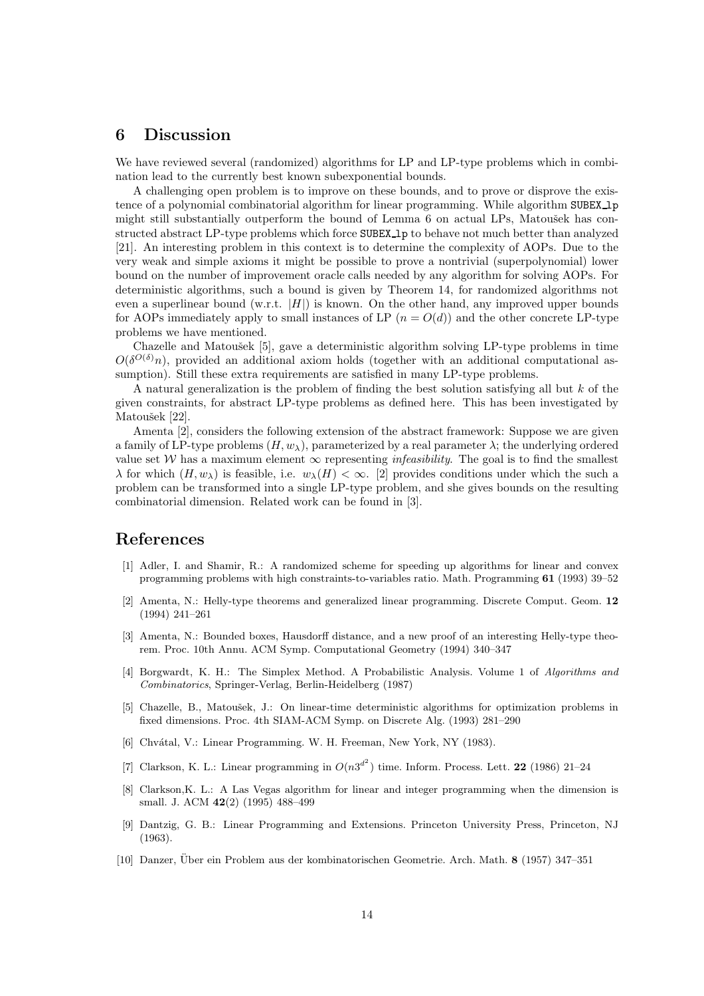#### 6 Discussion

We have reviewed several (randomized) algorithms for LP and LP-type problems which in combination lead to the currently best known subexponential bounds.

A challenging open problem is to improve on these bounds, and to prove or disprove the existence of a polynomial combinatorial algorithm for linear programming. While algorithm SUBEX lp might still substantially outperform the bound of Lemma 6 on actual LPs, Matoušek has constructed abstract LP-type problems which force SUBEX 1 to behave not much better than analyzed [21]. An interesting problem in this context is to determine the complexity of AOPs. Due to the very weak and simple axioms it might be possible to prove a nontrivial (superpolynomial) lower bound on the number of improvement oracle calls needed by any algorithm for solving AOPs. For deterministic algorithms, such a bound is given by Theorem 14, for randomized algorithms not even a superlinear bound (w.r.t.  $|H|$ ) is known. On the other hand, any improved upper bounds for AOPs immediately apply to small instances of LP  $(n = O(d))$  and the other concrete LP-type problems we have mentioned.

Chazelle and Matoušek [5], gave a deterministic algorithm solving LP-type problems in time  $O(\delta^{O(\delta)} n)$ , provided an additional axiom holds (together with an additional computational assumption). Still these extra requirements are satisfied in many LP-type problems.

A natural generalization is the problem of finding the best solution satisfying all but  $k$  of the given constraints, for abstract LP-type problems as defined here. This has been investigated by Matoušek [22].

Amenta [2], considers the following extension of the abstract framework: Suppose we are given a family of LP-type problems  $(H, w_\lambda)$ , parameterized by a real parameter  $\lambda$ ; the underlying ordered value set W has a maximum element  $\infty$  representing *infeasibility*. The goal is to find the smallest  $\lambda$  for which  $(H, w_\lambda)$  is feasible, i.e.  $w_\lambda(H) < \infty$ . [2] provides conditions under which the such a problem can be transformed into a single LP-type problem, and she gives bounds on the resulting combinatorial dimension. Related work can be found in [3].

### References

- [1] Adler, I. and Shamir, R.: A randomized scheme for speeding up algorithms for linear and convex programming problems with high constraints-to-variables ratio. Math. Programming 61 (1993) 39–52
- [2] Amenta, N.: Helly-type theorems and generalized linear programming. Discrete Comput. Geom. 12 (1994) 241–261
- [3] Amenta, N.: Bounded boxes, Hausdorff distance, and a new proof of an interesting Helly-type theorem. Proc. 10th Annu. ACM Symp. Computational Geometry (1994) 340–347
- [4] Borgwardt, K. H.: The Simplex Method. A Probabilistic Analysis. Volume 1 of Algorithms and Combinatorics, Springer-Verlag, Berlin-Heidelberg (1987)
- [5] Chazelle, B., Matoušek, J.: On linear-time deterministic algorithms for optimization problems in fixed dimensions. Proc. 4th SIAM-ACM Symp. on Discrete Alg. (1993) 281–290
- [6] Chvátal, V.: Linear Programming. W. H. Freeman, New York, NY (1983).
- [7] Clarkson, K. L.: Linear programming in  $O(n3^{d^2})$  time. Inform. Process. Lett. 22 (1986) 21–24
- [8] Clarkson,K. L.: A Las Vegas algorithm for linear and integer programming when the dimension is small. J. ACM 42(2) (1995) 488–499
- [9] Dantzig, G. B.: Linear Programming and Extensions. Princeton University Press, Princeton, NJ (1963).
- [10] Danzer, Über ein Problem aus der kombinatorischen Geometrie. Arch. Math. 8 (1957) 347–351